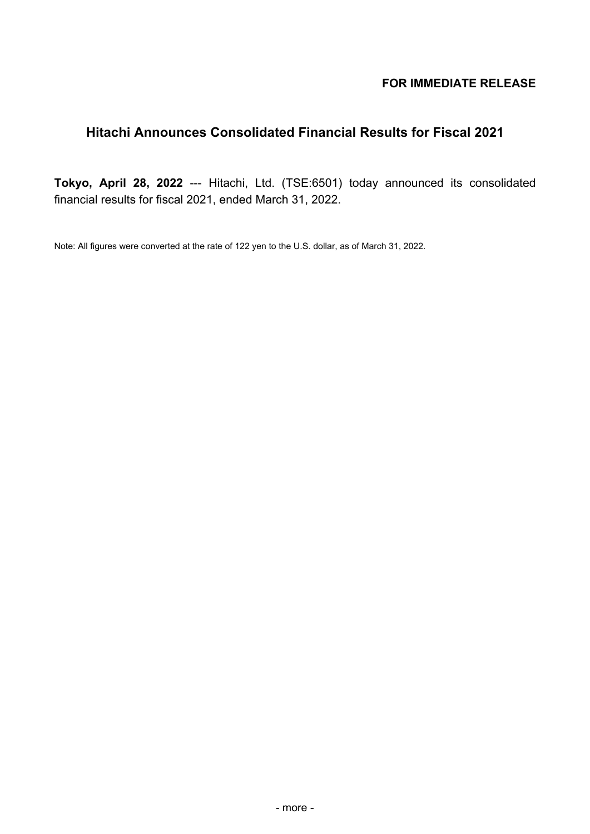# **FOR IMMEDIATE RELEASE**

# **Hitachi Announces Consolidated Financial Results for Fiscal 2021**

**Tokyo, April 28, 2022** --- Hitachi, Ltd. (TSE:6501) today announced its consolidated financial results for fiscal 2021, ended March 31, 2022.

Note: All figures were converted at the rate of 122 yen to the U.S. dollar, as of March 31, 2022.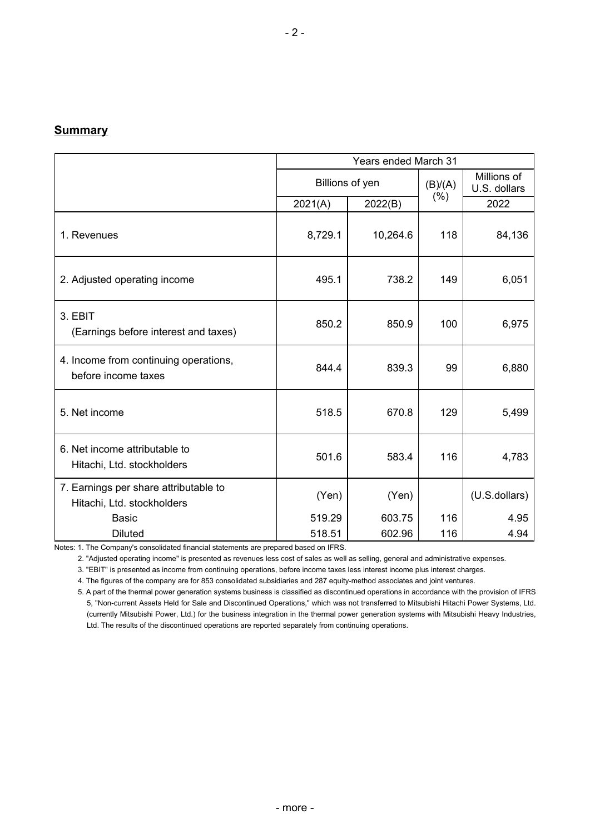## **Summary**

|                                                                     | <b>Years ended March 31</b> |                 |         |                             |  |
|---------------------------------------------------------------------|-----------------------------|-----------------|---------|-----------------------------|--|
|                                                                     |                             | Billions of yen | (B)/(A) | Millions of<br>U.S. dollars |  |
|                                                                     | 2021(A)                     | 2022(B)         | (% )    | 2022                        |  |
| 1. Revenues                                                         | 8,729.1                     | 10,264.6        | 118     | 84,136                      |  |
| 2. Adjusted operating income                                        | 495.1                       | 738.2           | 149     | 6,051                       |  |
| 3. EBIT<br>(Earnings before interest and taxes)                     | 850.2                       | 850.9           | 100     | 6,975                       |  |
| 4. Income from continuing operations,<br>before income taxes        | 844.4                       | 839.3           | 99      | 6,880                       |  |
| 5. Net income                                                       | 518.5                       | 670.8           | 129     | 5,499                       |  |
| 6. Net income attributable to<br>Hitachi, Ltd. stockholders         | 501.6                       | 583.4           | 116     | 4,783                       |  |
| 7. Earnings per share attributable to<br>Hitachi, Ltd. stockholders | (Yen)                       | (Yen)           |         | (U.S.dollars)               |  |
| <b>Basic</b>                                                        | 519.29                      | 603.75          | 116     | 4.95                        |  |
| <b>Diluted</b>                                                      | 518.51                      | 602.96          | 116     | 4.94                        |  |

Notes: 1. The Company's consolidated financial statements are prepared based on IFRS.

2. "Adjusted operating income" is presented as revenues less cost of sales as well as selling, general and administrative expenses.

3. "EBIT" is presented as income from continuing operations, before income taxes less interest income plus interest charges.

4. The figures of the company are for 853 consolidated subsidiaries and 287 equity-method associates and joint ventures.

5. A part of the thermal power generation systems business is classified as discontinued operations in accordance with the provision of IFRS 5, "Non-current Assets Held for Sale and Discontinued Operations," which was not transferred to Mitsubishi Hitachi Power Systems, Ltd. (currently Mitsubishi Power, Ltd.) for the business integration in the thermal power generation systems with Mitsubishi Heavy Industries, Ltd. The results of the discontinued operations are reported separately from continuing operations.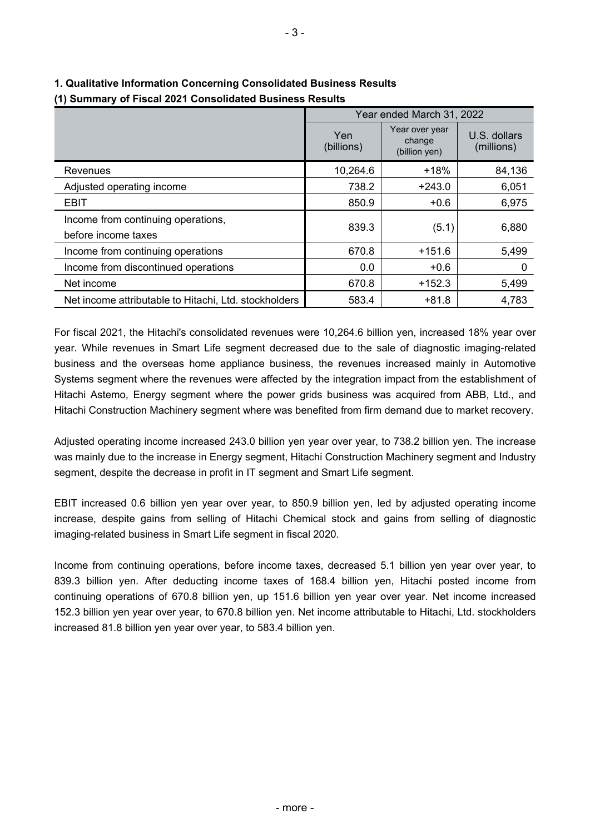|                                                           |                   | Year ended March 31, 2022                 |                            |
|-----------------------------------------------------------|-------------------|-------------------------------------------|----------------------------|
|                                                           | Yen<br>(billions) | Year over year<br>change<br>(billion yen) | U.S. dollars<br>(millions) |
| Revenues                                                  | 10,264.6          | $+18%$                                    | 84,136                     |
| Adjusted operating income                                 | 738.2             | $+243.0$                                  | 6,051                      |
| <b>EBIT</b>                                               | 850.9             | $+0.6$                                    | 6,975                      |
| Income from continuing operations,<br>before income taxes | 839.3             | (5.1)                                     | 6,880                      |
| Income from continuing operations                         | 670.8             | $+151.6$                                  | 5,499                      |
| Income from discontinued operations                       | 0.0               | $+0.6$                                    | 0                          |
| Net income                                                | 670.8             | $+152.3$                                  | 5,499                      |
| Net income attributable to Hitachi, Ltd. stockholders     | 583.4             | $+81.8$                                   | 4,783                      |

## **1. Qualitative Information Concerning Consolidated Business Results (1) Summary of Fiscal 2021 Consolidated Business Results**

For fiscal 2021, the Hitachi's consolidated revenues were 10,264.6 billion yen, increased 18% year over year. While revenues in Smart Life segment decreased due to the sale of diagnostic imaging-related business and the overseas home appliance business, the revenues increased mainly in Automotive Systems segment where the revenues were affected by the integration impact from the establishment of Hitachi Astemo, Energy segment where the power grids business was acquired from ABB, Ltd., and Hitachi Construction Machinery segment where was benefited from firm demand due to market recovery.

Adjusted operating income increased 243.0 billion yen year over year, to 738.2 billion yen. The increase was mainly due to the increase in Energy segment, Hitachi Construction Machinery segment and Industry segment, despite the decrease in profit in IT segment and Smart Life segment.

EBIT increased 0.6 billion yen year over year, to 850.9 billion yen, led by adjusted operating income increase, despite gains from selling of Hitachi Chemical stock and gains from selling of diagnostic imaging-related business in Smart Life segment in fiscal 2020.

Income from continuing operations, before income taxes, decreased 5.1 billion yen year over year, to 839.3 billion yen. After deducting income taxes of 168.4 billion yen, Hitachi posted income from continuing operations of 670.8 billion yen, up 151.6 billion yen year over year. Net income increased 152.3 billion yen year over year, to 670.8 billion yen. Net income attributable to Hitachi, Ltd. stockholders increased 81.8 billion yen year over year, to 583.4 billion yen.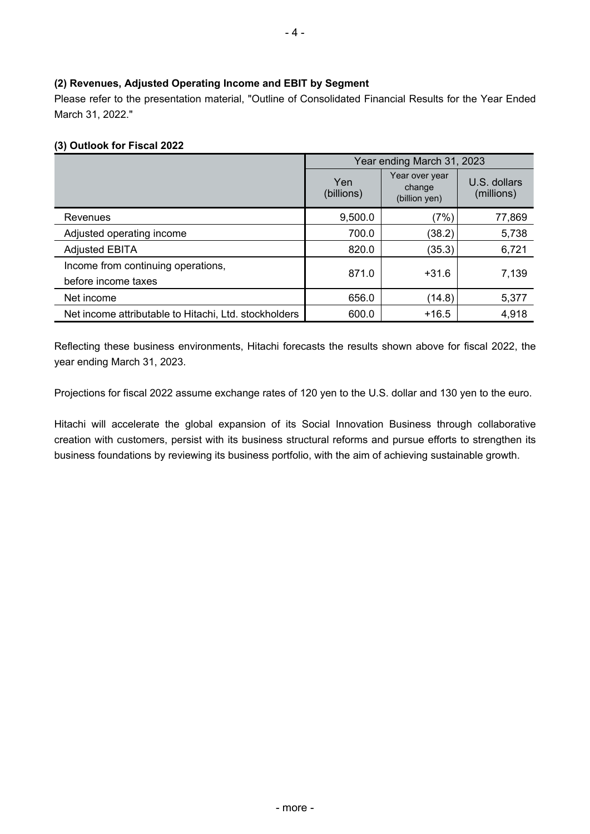#### **(2) Revenues, Adjusted Operating Income and EBIT by Segment**

Please refer to the presentation material, "Outline of Consolidated Financial Results for the Year Ended March 31, 2022."

#### **(3) Outlook for Fiscal 2022**

|                                                           | Year ending March 31, 2023 |                                           |                            |  |  |
|-----------------------------------------------------------|----------------------------|-------------------------------------------|----------------------------|--|--|
|                                                           | Yen<br>(billions)          | Year over year<br>change<br>(billion yen) | U.S. dollars<br>(millions) |  |  |
| Revenues                                                  | 9,500.0                    | (7%                                       | 77,869                     |  |  |
| Adjusted operating income                                 | 700.0                      | (38.2)                                    | 5,738                      |  |  |
| <b>Adjusted EBITA</b>                                     | 820.0                      | (35.3)                                    | 6,721                      |  |  |
| Income from continuing operations,<br>before income taxes | 871.0                      | $+31.6$                                   | 7,139                      |  |  |
| Net income                                                | 656.0                      | (14.8)                                    | 5,377                      |  |  |
| Net income attributable to Hitachi, Ltd. stockholders     | 600.0                      | $+16.5$                                   | 4,918                      |  |  |

Reflecting these business environments, Hitachi forecasts the results shown above for fiscal 2022, the year ending March 31, 2023.

Projections for fiscal 2022 assume exchange rates of 120 yen to the U.S. dollar and 130 yen to the euro.

Hitachi will accelerate the global expansion of its Social Innovation Business through collaborative creation with customers, persist with its business structural reforms and pursue efforts to strengthen its business foundations by reviewing its business portfolio, with the aim of achieving sustainable growth.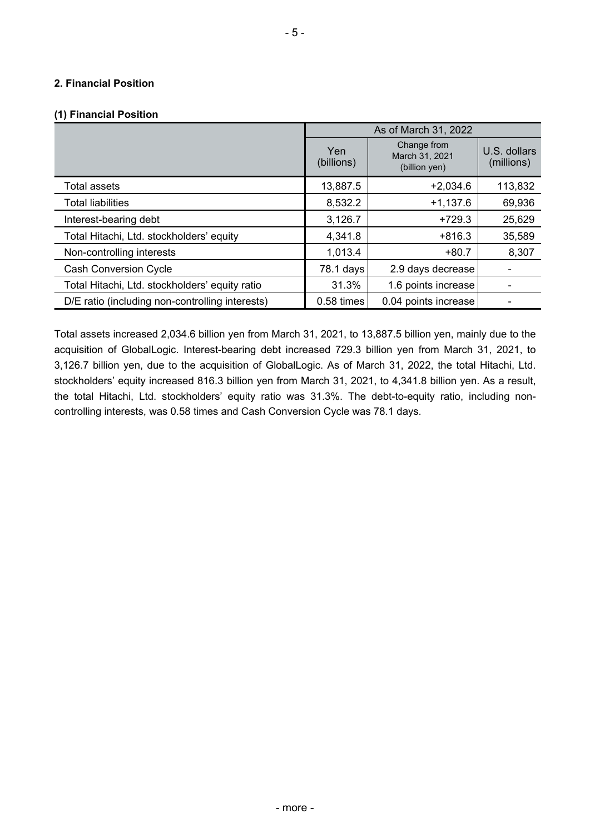#### **2. Financial Position**

#### **(1) Financial Position**

|                                                 | As of March 31, 2022 |                                                |                            |  |  |  |
|-------------------------------------------------|----------------------|------------------------------------------------|----------------------------|--|--|--|
|                                                 | Yen<br>(billions)    | Change from<br>March 31, 2021<br>(billion yen) | U.S. dollars<br>(millions) |  |  |  |
| <b>Total assets</b>                             | 13,887.5             | $+2,034.6$                                     | 113,832                    |  |  |  |
| <b>Total liabilities</b>                        | 8,532.2              | $+1,137.6$                                     | 69,936                     |  |  |  |
| Interest-bearing debt                           | 3,126.7              | $+729.3$                                       | 25,629                     |  |  |  |
| Total Hitachi, Ltd. stockholders' equity        | 4,341.8              | $+816.3$                                       | 35,589                     |  |  |  |
| Non-controlling interests                       | 1,013.4              | $+80.7$                                        | 8,307                      |  |  |  |
| <b>Cash Conversion Cycle</b>                    | 78.1 days            | 2.9 days decrease                              |                            |  |  |  |
| Total Hitachi, Ltd. stockholders' equity ratio  | 31.3%                | 1.6 points increase                            |                            |  |  |  |
| D/E ratio (including non-controlling interests) | 0.58 times           | 0.04 points increase                           |                            |  |  |  |

Total assets increased 2,034.6 billion yen from March 31, 2021, to 13,887.5 billion yen, mainly due to the acquisition of GlobalLogic. Interest-bearing debt increased 729.3 billion yen from March 31, 2021, to 3,126.7 billion yen, due to the acquisition of GlobalLogic. As of March 31, 2022, the total Hitachi, Ltd. stockholders' equity increased 816.3 billion yen from March 31, 2021, to 4,341.8 billion yen. As a result, the total Hitachi, Ltd. stockholders' equity ratio was 31.3%. The debt-to-equity ratio, including noncontrolling interests, was 0.58 times and Cash Conversion Cycle was 78.1 days.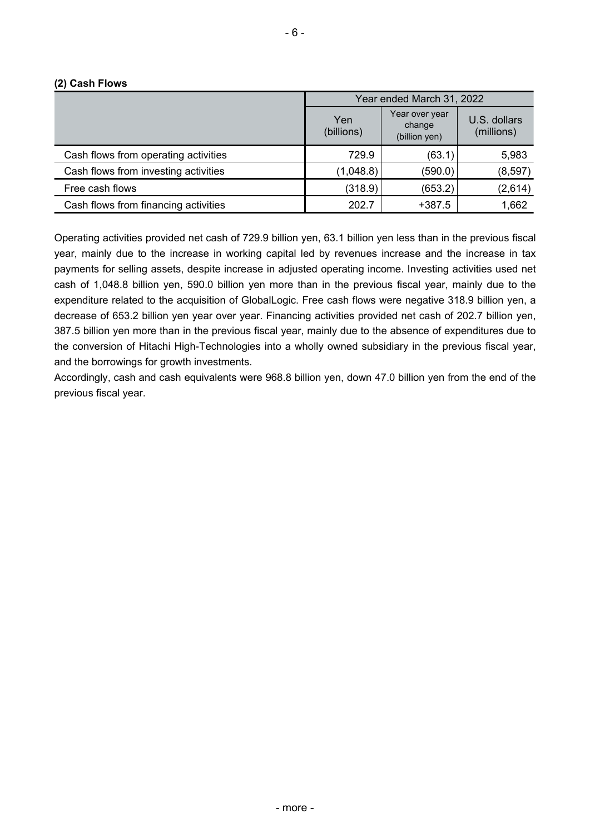|  |  | (2) Cash Flows |
|--|--|----------------|
|--|--|----------------|

|                                      | Year ended March 31, 2022 |                                           |                            |  |  |  |
|--------------------------------------|---------------------------|-------------------------------------------|----------------------------|--|--|--|
|                                      | Yen<br>(billions)         | Year over year<br>change<br>(billion yen) | U.S. dollars<br>(millions) |  |  |  |
| Cash flows from operating activities | 729.9                     | (63.1)                                    | 5,983                      |  |  |  |
| Cash flows from investing activities | (1,048.8)                 | (590.0)                                   | (8, 597)                   |  |  |  |
| Free cash flows                      | (318.9)                   | (653.2)                                   | (2,614)                    |  |  |  |
| Cash flows from financing activities | 202.7                     | $+387.5$                                  | 1,662                      |  |  |  |

Operating activities provided net cash of 729.9 billion yen, 63.1 billion yen less than in the previous fiscal year, mainly due to the increase in working capital led by revenues increase and the increase in tax payments for selling assets, despite increase in adjusted operating income. Investing activities used net cash of 1,048.8 billion yen, 590.0 billion yen more than in the previous fiscal year, mainly due to the expenditure related to the acquisition of GlobalLogic. Free cash flows were negative 318.9 billion yen, a decrease of 653.2 billion yen year over year. Financing activities provided net cash of 202.7 billion yen, 387.5 billion yen more than in the previous fiscal year, mainly due to the absence of expenditures due to the conversion of Hitachi High-Technologies into a wholly owned subsidiary in the previous fiscal year, and the borrowings for growth investments.

Accordingly, cash and cash equivalents were 968.8 billion yen, down 47.0 billion yen from the end of the previous fiscal year.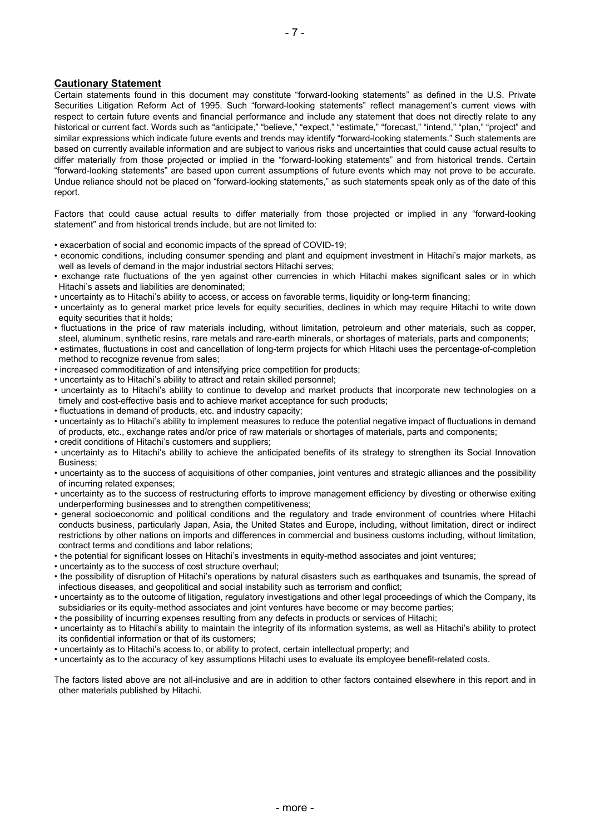#### **Cautionary Statement**

Certain statements found in this document may constitute "forward-looking statements" as defined in the U.S. Private Securities Litigation Reform Act of 1995. Such "forward-looking statements" reflect management's current views with respect to certain future events and financial performance and include any statement that does not directly relate to any historical or current fact. Words such as "anticipate," "believe," "expect," "estimate," "forecast," "intend," "plan," "project" and similar expressions which indicate future events and trends may identify "forward-looking statements." Such statements are based on currently available information and are subject to various risks and uncertainties that could cause actual results to differ materially from those projected or implied in the "forward-looking statements" and from historical trends. Certain "forward-looking statements" are based upon current assumptions of future events which may not prove to be accurate. Undue reliance should not be placed on "forward-looking statements," as such statements speak only as of the date of this report.

Factors that could cause actual results to differ materially from those projected or implied in any "forward-looking statement" and from historical trends include, but are not limited to:

- exacerbation of social and economic impacts of the spread of COVID-19;
- economic conditions, including consumer spending and plant and equipment investment in Hitachi's major markets, as well as levels of demand in the major industrial sectors Hitachi serves;
- exchange rate fluctuations of the yen against other currencies in which Hitachi makes significant sales or in which Hitachi's assets and liabilities are denominated;
- uncertainty as to Hitachi's ability to access, or access on favorable terms, liquidity or long-term financing;
- uncertainty as to general market price levels for equity securities, declines in which may require Hitachi to write down equity securities that it holds;
- fluctuations in the price of raw materials including, without limitation, petroleum and other materials, such as copper, steel, aluminum, synthetic resins, rare metals and rare-earth minerals, or shortages of materials, parts and components;
- estimates, fluctuations in cost and cancellation of long-term projects for which Hitachi uses the percentage-of-completion method to recognize revenue from sales;
- increased commoditization of and intensifying price competition for products;
- uncertainty as to Hitachi's ability to attract and retain skilled personnel;
- uncertainty as to Hitachi's ability to continue to develop and market products that incorporate new technologies on a timely and cost-effective basis and to achieve market acceptance for such products;
- fluctuations in demand of products, etc. and industry capacity;
- uncertainty as to Hitachi's ability to implement measures to reduce the potential negative impact of fluctuations in demand of products, etc., exchange rates and/or price of raw materials or shortages of materials, parts and components;
- credit conditions of Hitachi's customers and suppliers;
- uncertainty as to Hitachi's ability to achieve the anticipated benefits of its strategy to strengthen its Social Innovation Business;
- uncertainty as to the success of acquisitions of other companies, joint ventures and strategic alliances and the possibility of incurring related expenses;
- uncertainty as to the success of restructuring efforts to improve management efficiency by divesting or otherwise exiting underperforming businesses and to strengthen competitiveness;
- general socioeconomic and political conditions and the regulatory and trade environment of countries where Hitachi conducts business, particularly Japan, Asia, the United States and Europe, including, without limitation, direct or indirect restrictions by other nations on imports and differences in commercial and business customs including, without limitation, contract terms and conditions and labor relations;
- the potential for significant losses on Hitachi's investments in equity-method associates and joint ventures;
- uncertainty as to the success of cost structure overhaul;
- the possibility of disruption of Hitachi's operations by natural disasters such as earthquakes and tsunamis, the spread of infectious diseases, and geopolitical and social instability such as terrorism and conflict;
- uncertainty as to the outcome of litigation, regulatory investigations and other legal proceedings of which the Company, its subsidiaries or its equity-method associates and joint ventures have become or may become parties;
- the possibility of incurring expenses resulting from any defects in products or services of Hitachi;
- uncertainty as to Hitachi's ability to maintain the integrity of its information systems, as well as Hitachi's ability to protect its confidential information or that of its customers;
- uncertainty as to Hitachi's access to, or ability to protect, certain intellectual property; and
- uncertainty as to the accuracy of key assumptions Hitachi uses to evaluate its employee benefit-related costs.

The factors listed above are not all-inclusive and are in addition to other factors contained elsewhere in this report and in other materials published by Hitachi.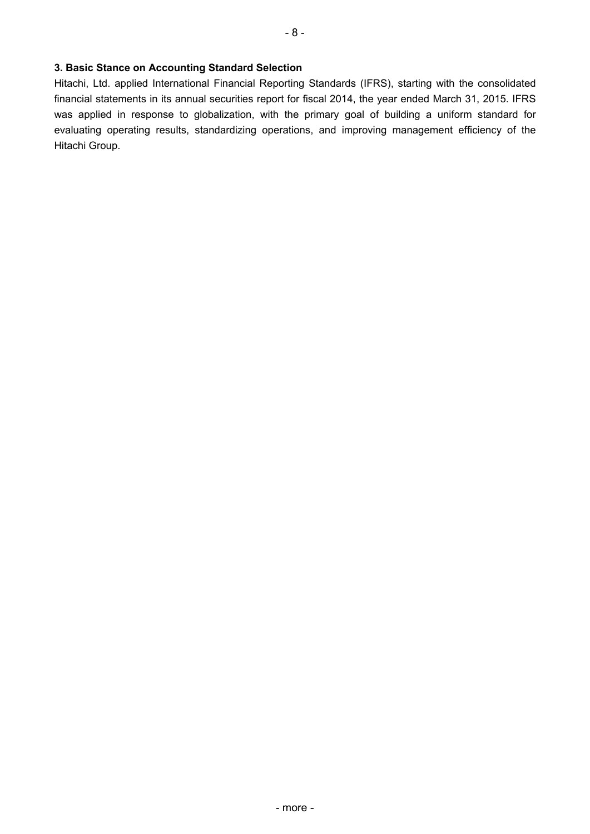Hitachi, Ltd. applied International Financial Reporting Standards (IFRS), starting with the consolidated financial statements in its annual securities report for fiscal 2014, the year ended March 31, 2015. IFRS was applied in response to globalization, with the primary goal of building a uniform standard for evaluating operating results, standardizing operations, and improving management efficiency of the Hitachi Group.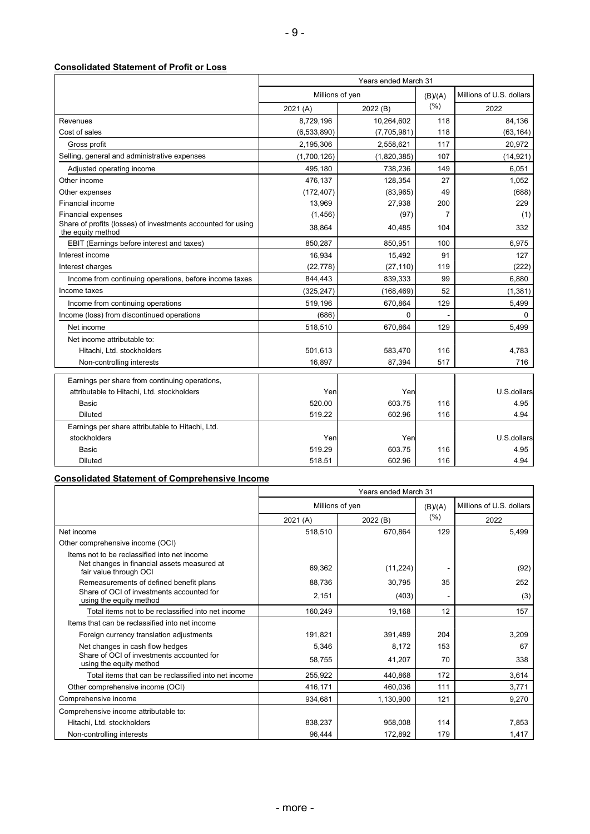#### **Consolidated Statement of Profit or Loss**

|                                                                                   | Years ended March 31 |             |                |                          |  |  |
|-----------------------------------------------------------------------------------|----------------------|-------------|----------------|--------------------------|--|--|
|                                                                                   | Millions of yen      |             | (B)/(A)        | Millions of U.S. dollars |  |  |
|                                                                                   | 2021(A)              | 2022 (B)    | (% )           | 2022                     |  |  |
| Revenues                                                                          | 8,729,196            | 10,264,602  | 118            | 84,136                   |  |  |
| Cost of sales                                                                     | (6,533,890)          | (7,705,981) | 118            | (63, 164)                |  |  |
| Gross profit                                                                      | 2,195,306            | 2,558,621   | 117            | 20,972                   |  |  |
| Selling, general and administrative expenses                                      | (1,700,126)          | (1,820,385) | 107            | (14, 921)                |  |  |
| Adjusted operating income                                                         | 495,180              | 738,236     | 149            | 6,051                    |  |  |
| Other income                                                                      | 476,137              | 128,354     | 27             | 1,052                    |  |  |
| Other expenses                                                                    | (172, 407)           | (83,965)    | 49             | (688)                    |  |  |
| Financial income                                                                  | 13,969               | 27,938      | 200            | 229                      |  |  |
| <b>Financial expenses</b>                                                         | (1, 456)             | (97)        | $\overline{7}$ | (1)                      |  |  |
| Share of profits (losses) of investments accounted for using<br>the equity method | 38,864               | 40,485      | 104            | 332                      |  |  |
| EBIT (Earnings before interest and taxes)                                         | 850,287              | 850,951     | 100            | 6,975                    |  |  |
| Interest income                                                                   | 16,934               | 15,492      | 91             | 127                      |  |  |
| Interest charges                                                                  | (22, 778)            | (27, 110)   | 119            | (222)                    |  |  |
| Income from continuing operations, before income taxes                            | 844,443              | 839,333     | 99             | 6,880                    |  |  |
| Income taxes                                                                      | (325, 247)           | (168, 469)  | 52             | (1, 381)                 |  |  |
| Income from continuing operations                                                 | 519,196              | 670,864     | 129            | 5,499                    |  |  |
| Income (loss) from discontinued operations                                        | (686)                | $\Omega$    |                | $\Omega$                 |  |  |
| Net income                                                                        | 518,510              | 670,864     | 129            | 5,499                    |  |  |
| Net income attributable to:                                                       |                      |             |                |                          |  |  |
| Hitachi, Ltd. stockholders                                                        | 501,613              | 583,470     | 116            | 4,783                    |  |  |
| Non-controlling interests                                                         | 16,897               | 87,394      | 517            | 716                      |  |  |
| Earnings per share from continuing operations,                                    |                      |             |                |                          |  |  |
| attributable to Hitachi, Ltd. stockholders                                        | Yen                  | Yen         |                | U.S.dollars              |  |  |
| Basic                                                                             | 520.00               | 603.75      | 116            | 4.95                     |  |  |
| <b>Diluted</b>                                                                    | 519.22               | 602.96      | 116            | 4.94                     |  |  |
| Earnings per share attributable to Hitachi, Ltd.                                  |                      |             |                |                          |  |  |
| stockholders                                                                      | Yen                  | Yen         |                | U.S.dollars              |  |  |
| Basic                                                                             | 519.29               | 603.75      | 116            | 4.95                     |  |  |
| <b>Diluted</b>                                                                    | 518.51               | 602.96      | 116            | 4.94                     |  |  |

# **Consolidated Statement of Comprehensive Income**

|                                                                                                                       | Years ended March 31 |                 |         |                          |  |  |
|-----------------------------------------------------------------------------------------------------------------------|----------------------|-----------------|---------|--------------------------|--|--|
|                                                                                                                       |                      | Millions of yen | (B)/(A) | Millions of U.S. dollars |  |  |
|                                                                                                                       | 2021 (A)             | 2022 (B)        | (% )    | 2022                     |  |  |
| Net income                                                                                                            | 518,510              | 670,864         | 129     | 5,499                    |  |  |
| Other comprehensive income (OCI)                                                                                      |                      |                 |         |                          |  |  |
| Items not to be reclassified into net income<br>Net changes in financial assets measured at<br>fair value through OCI | 69,362               | (11, 224)       |         | (92)                     |  |  |
| Remeasurements of defined benefit plans                                                                               | 88,736               | 30,795          | 35      | 252                      |  |  |
| Share of OCI of investments accounted for<br>using the equity method                                                  | 2,151                | (403)           |         | (3)                      |  |  |
| Total items not to be reclassified into net income                                                                    | 160,249              | 19,168          | 12      | 157                      |  |  |
| Items that can be reclassified into net income                                                                        |                      |                 |         |                          |  |  |
| Foreign currency translation adjustments                                                                              | 191,821              | 391,489         | 204     | 3,209                    |  |  |
| Net changes in cash flow hedges                                                                                       | 5,346                | 8,172           | 153     | 67                       |  |  |
| Share of OCI of investments accounted for<br>using the equity method                                                  | 58,755               | 41,207          | 70      | 338                      |  |  |
| Total items that can be reclassified into net income                                                                  | 255,922              | 440,868         | 172     | 3,614                    |  |  |
| Other comprehensive income (OCI)                                                                                      | 416,171              | 460,036         | 111     | 3,771                    |  |  |
| Comprehensive income                                                                                                  | 934,681              | 1,130,900       | 121     | 9,270                    |  |  |
| Comprehensive income attributable to:                                                                                 |                      |                 |         |                          |  |  |
| Hitachi, Ltd. stockholders                                                                                            | 838,237              | 958,008         | 114     | 7,853                    |  |  |
| Non-controlling interests                                                                                             | 96,444               | 172,892         | 179     | 1,417                    |  |  |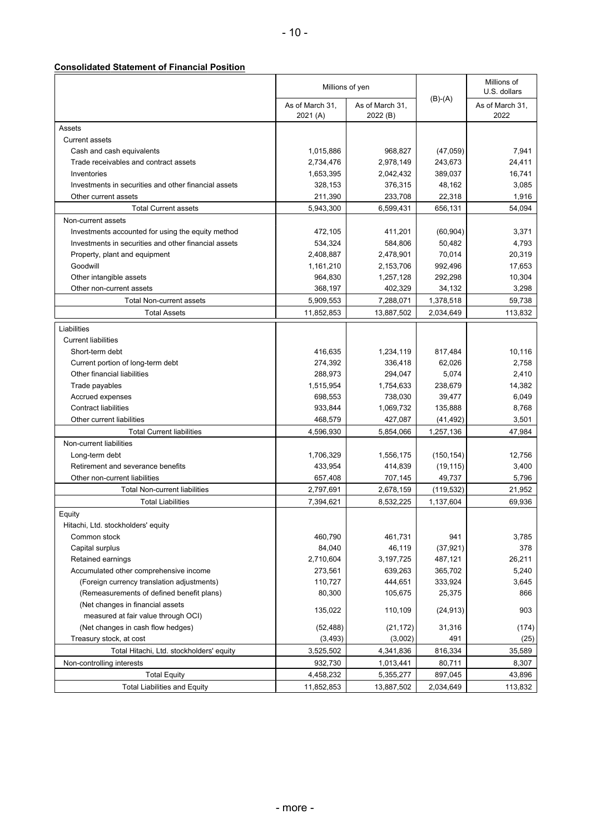#### **Consolidated Statement of Financial Position**

|                                                      | Millions of yen             |                             |            | Millions of<br>U.S. dollars |
|------------------------------------------------------|-----------------------------|-----------------------------|------------|-----------------------------|
|                                                      | As of March 31,<br>2021 (A) | As of March 31,<br>2022 (B) | $(B)-(A)$  | As of March 31,<br>2022     |
| Assets                                               |                             |                             |            |                             |
| Current assets                                       |                             |                             |            |                             |
| Cash and cash equivalents                            | 1,015,886                   | 968,827                     | (47,059)   | 7,941                       |
| Trade receivables and contract assets                | 2,734,476                   | 2,978,149                   | 243,673    | 24,411                      |
| Inventories                                          | 1,653,395                   | 2,042,432                   | 389,037    | 16,741                      |
| Investments in securities and other financial assets | 328,153                     | 376,315                     | 48,162     | 3,085                       |
| Other current assets                                 | 211,390                     | 233,708                     | 22,318     | 1,916                       |
| <b>Total Current assets</b>                          | 5,943,300                   | 6,599,431                   | 656,131    | 54,094                      |
| Non-current assets                                   |                             |                             |            |                             |
| Investments accounted for using the equity method    | 472,105                     | 411,201                     | (60, 904)  | 3,371                       |
| Investments in securities and other financial assets | 534,324                     | 584,806                     | 50,482     | 4,793                       |
| Property, plant and equipment                        | 2,408,887                   | 2,478,901                   | 70,014     | 20,319                      |
| Goodwill                                             | 1,161,210                   | 2,153,706                   | 992,496    | 17,653                      |
| Other intangible assets                              | 964,830                     | 1,257,128                   | 292,298    | 10,304                      |
| Other non-current assets                             | 368,197                     | 402,329                     | 34,132     | 3,298                       |
| <b>Total Non-current assets</b>                      | 5,909,553                   | 7,288,071                   | 1,378,518  | 59,738                      |
| <b>Total Assets</b>                                  | 11,852,853                  | 13,887,502                  | 2,034,649  | 113,832                     |
| Liabilities                                          |                             |                             |            |                             |
| <b>Current liabilities</b>                           |                             |                             |            |                             |
| Short-term debt                                      | 416,635                     | 1,234,119                   | 817,484    | 10,116                      |
| Current portion of long-term debt                    | 274,392                     | 336,418                     | 62,026     | 2,758                       |
| Other financial liabilities                          | 288,973                     | 294,047                     | 5,074      | 2,410                       |
| Trade payables                                       | 1,515,954                   | 1,754,633                   | 238,679    | 14,382                      |
| Accrued expenses                                     | 698,553                     | 738,030                     | 39,477     | 6,049                       |
| <b>Contract liabilities</b>                          | 933,844                     | 1,069,732                   | 135,888    | 8,768                       |
| Other current liabilities                            | 468,579                     | 427,087                     | (41, 492)  | 3,501                       |
| <b>Total Current liabilities</b>                     | 4,596,930                   | 5,854,066                   | 1,257,136  | 47,984                      |
| Non-current liabilities                              |                             |                             |            |                             |
| Long-term debt                                       | 1,706,329                   | 1,556,175                   | (150, 154) | 12,756                      |
| Retirement and severance benefits                    | 433,954                     | 414,839                     | (19, 115)  | 3,400                       |
| Other non-current liabilities                        | 657,408                     | 707,145                     | 49,737     | 5,796                       |
| <b>Total Non-current liabilities</b>                 | 2,797,691                   | 2,678,159                   | (119, 532) | 21,952                      |
| <b>Total Liabilities</b>                             | 7,394,621                   | 8,532,225                   | 1,137,604  | 69,936                      |
| Equity                                               |                             |                             |            |                             |
| Hitachi, Ltd. stockholders' equity                   |                             |                             |            |                             |
| Common stock                                         | 460,790                     | 461,731                     | 941        | 3,785                       |
| Capital surplus                                      | 84,040                      | 46,119                      | (37, 921)  | 378                         |
| Retained earnings                                    | 2,710,604                   | 3,197,725                   | 487,121    | 26,211                      |
| Accumulated other comprehensive income               | 273,561                     | 639,263                     | 365,702    | 5,240                       |
| (Foreign currency translation adjustments)           | 110,727                     | 444,651                     | 333,924    | 3,645                       |
| (Remeasurements of defined benefit plans)            | 80,300                      | 105,675                     | 25,375     | 866                         |
| (Net changes in financial assets                     | 135,022                     | 110,109                     | (24, 913)  | 903                         |
| measured at fair value through OCI)                  |                             |                             |            |                             |
| (Net changes in cash flow hedges)                    | (52, 488)                   | (21, 172)                   | 31,316     | (174)                       |
| Treasury stock, at cost                              | (3, 493)                    | (3,002)                     | 491        | (25)                        |
| Total Hitachi, Ltd. stockholders' equity             | 3,525,502                   | 4,341,836                   | 816,334    | 35,589                      |
| Non-controlling interests                            | 932,730                     | 1,013,441                   | 80,711     | 8,307                       |
| <b>Total Equity</b>                                  | 4,458,232                   | 5,355,277                   | 897,045    | 43,896                      |
| <b>Total Liabilities and Equity</b>                  | 11,852,853                  | 13,887,502                  | 2,034,649  | 113,832                     |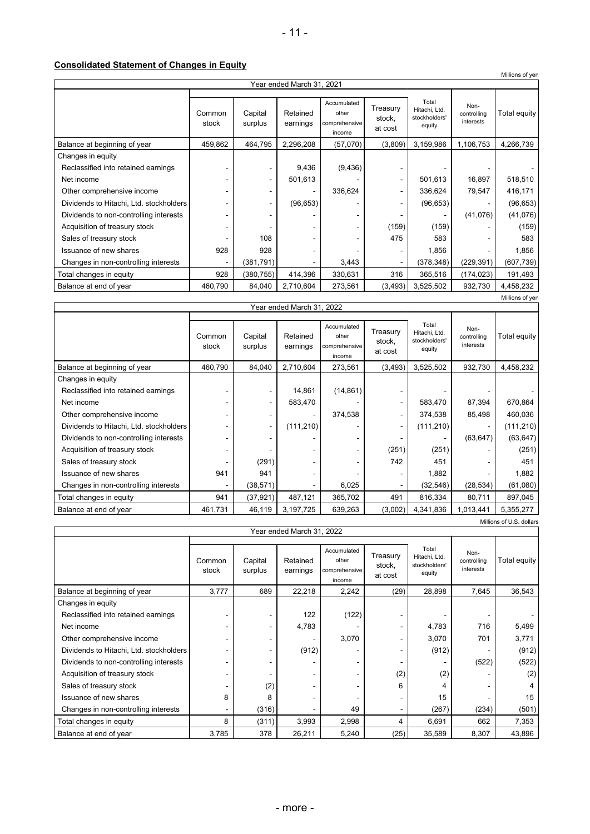**Consolidated Statement of Changes in Equity**

|                                                          |                              |                    |                      |                                                 |                               |                                                   |                                  | Millions of yen |
|----------------------------------------------------------|------------------------------|--------------------|----------------------|-------------------------------------------------|-------------------------------|---------------------------------------------------|----------------------------------|-----------------|
| Year ended March 31, 2021                                |                              |                    |                      |                                                 |                               |                                                   |                                  |                 |
|                                                          | Common<br>stock              | Capital<br>surplus | Retained<br>earnings | Accumulated<br>other<br>comprehensive<br>income | Treasury<br>stock,<br>at cost | Total<br>Hitachi, Ltd.<br>stockholders'<br>equity | Non-<br>controlling<br>interests | Total equity    |
| Balance at beginning of year                             | 459,862                      | 464,795            | 2,296,208            | (57,070)                                        | (3,809)                       | 3,159,986                                         | 1,106,753                        | 4,266,739       |
| Changes in equity<br>Reclassified into retained earnings |                              |                    | 9,436                | (9, 436)                                        |                               |                                                   |                                  |                 |
| Net income                                               |                              |                    | 501,613              |                                                 |                               | 501,613                                           | 16,897                           | 518,510         |
| Other comprehensive income                               |                              |                    |                      | 336,624                                         |                               | 336,624                                           | 79,547                           | 416,171         |
| Dividends to Hitachi, Ltd. stockholders                  |                              |                    | (96, 653)            |                                                 |                               | (96, 653)                                         |                                  | (96, 653)       |
| Dividends to non-controlling interests                   |                              |                    |                      |                                                 |                               |                                                   | (41,076)                         | (41,076)        |
| Acquisition of treasury stock                            |                              |                    |                      |                                                 | (159)                         | (159)                                             |                                  | (159)           |
| Sales of treasury stock                                  |                              | 108                |                      |                                                 | 475                           | 583                                               |                                  | 583             |
| Issuance of new shares                                   | 928                          | 928                |                      |                                                 |                               | 1,856                                             |                                  | 1,856           |
| Changes in non-controlling interests                     | $\qquad \qquad \blacksquare$ | (381, 791)         |                      | 3,443                                           |                               | (378, 348)                                        | (229, 391)                       | (607, 739)      |
| Total changes in equity                                  | 928                          | (380, 755)         | 414,396              | 330,631                                         | 316                           | 365,516                                           | (174, 023)                       | 191,493         |
| Balance at end of year                                   | 460,790                      | 84,040             | 2,710,604            | 273,561                                         | (3, 493)                      | 3,525,502                                         | 932,730                          | 4,458,232       |
|                                                          |                              |                    |                      |                                                 |                               |                                                   |                                  | Millions of yen |

| Year ended March 31, 2022               |                 |                    |                      |                                                 |                               |                                                   |                                  |              |
|-----------------------------------------|-----------------|--------------------|----------------------|-------------------------------------------------|-------------------------------|---------------------------------------------------|----------------------------------|--------------|
|                                         | Common<br>stock | Capital<br>surplus | Retained<br>earnings | Accumulated<br>other<br>comprehensive<br>income | Treasury<br>stock,<br>at cost | Total<br>Hitachi, Ltd.<br>stockholders'<br>equity | Non-<br>controlling<br>interests | Total equity |
| Balance at beginning of year            | 460,790         | 84,040             | 2,710,604            | 273,561                                         | (3, 493)                      | 3,525,502                                         | 932,730                          | 4,458,232    |
| Changes in equity                       |                 |                    |                      |                                                 |                               |                                                   |                                  |              |
| Reclassified into retained earnings     |                 | ۰                  | 14,861               | (14, 861)                                       |                               |                                                   |                                  |              |
| Net income                              |                 | $\sim$             | 583,470              |                                                 | -                             | 583,470                                           | 87,394                           | 670,864      |
| Other comprehensive income              |                 | ۰                  |                      | 374,538                                         | -                             | 374,538                                           | 85,498                           | 460,036      |
| Dividends to Hitachi, Ltd. stockholders |                 | $\sim$             | (111, 210)           |                                                 | $\blacksquare$                | (111, 210)                                        |                                  | (111, 210)   |
| Dividends to non-controlling interests  |                 |                    |                      |                                                 |                               |                                                   | (63, 647)                        | (63, 647)    |
| Acquisition of treasury stock           |                 |                    |                      |                                                 | (251)                         | (251)                                             |                                  | (251)        |
| Sales of treasury stock                 |                 | (291)              |                      |                                                 | 742                           | 451                                               |                                  | 451          |
| Issuance of new shares                  | 941             | 941                |                      |                                                 |                               | 1,882                                             |                                  | 1,882        |
| Changes in non-controlling interests    |                 | (38, 571)          |                      | 6,025                                           |                               | (32, 546)                                         | (28, 534)                        | (61,080)     |
| Total changes in equity                 | 941             | (37, 921)          | 487,121              | 365,702                                         | 491                           | 816,334                                           | 80,711                           | 897,045      |
| Balance at end of year                  | 461,731         | 46,119             | 3,197,725            | 639,263                                         | (3,002)                       | 4,341,836                                         | 1,013,441                        | 5,355,277    |
| Millions of U.S. dollars                |                 |                    |                      |                                                 |                               |                                                   |                                  |              |

| Year ended March 31, 2022               |                 |                    |                      |                                                 |                               |                                                   |                                  |              |
|-----------------------------------------|-----------------|--------------------|----------------------|-------------------------------------------------|-------------------------------|---------------------------------------------------|----------------------------------|--------------|
|                                         | Common<br>stock | Capital<br>surplus | Retained<br>earnings | Accumulated<br>other<br>comprehensive<br>income | Treasury<br>stock,<br>at cost | Total<br>Hitachi, Ltd.<br>stockholders'<br>equity | Non-<br>controlling<br>interests | Total equity |
| Balance at beginning of year            | 3,777           | 689                | 22,218               | 2,242                                           | (29)                          | 28,898                                            | 7,645                            | 36,543       |
| Changes in equity                       |                 |                    |                      |                                                 |                               |                                                   |                                  |              |
| Reclassified into retained earnings     |                 |                    | 122                  | (122)                                           |                               |                                                   |                                  |              |
| Net income                              |                 |                    | 4,783                |                                                 |                               | 4,783                                             | 716                              | 5,499        |
| Other comprehensive income              |                 |                    |                      | 3,070                                           |                               | 3,070                                             | 701                              | 3,771        |
| Dividends to Hitachi, Ltd. stockholders |                 | ۰                  | (912)                |                                                 |                               | (912)                                             |                                  | (912)        |
| Dividends to non-controlling interests  |                 |                    |                      |                                                 |                               |                                                   | (522)                            | (522)        |
| Acquisition of treasury stock           |                 |                    |                      |                                                 | (2)                           | (2)                                               |                                  | (2)          |
| Sales of treasury stock                 |                 | (2)                |                      |                                                 | 6                             | 4                                                 |                                  | 4            |
| Issuance of new shares                  | 8               | 8                  |                      |                                                 |                               | 15                                                |                                  | 15           |
| Changes in non-controlling interests    |                 | (316)              |                      | 49                                              |                               | (267)                                             | (234)                            | (501)        |
| Total changes in equity                 | 8               | (311)              | 3,993                | 2,998                                           | 4                             | 6,691                                             | 662                              | 7,353        |
| Balance at end of year                  | 3,785           | 378                | 26,211               | 5,240                                           | (25)                          | 35,589                                            | 8,307                            | 43,896       |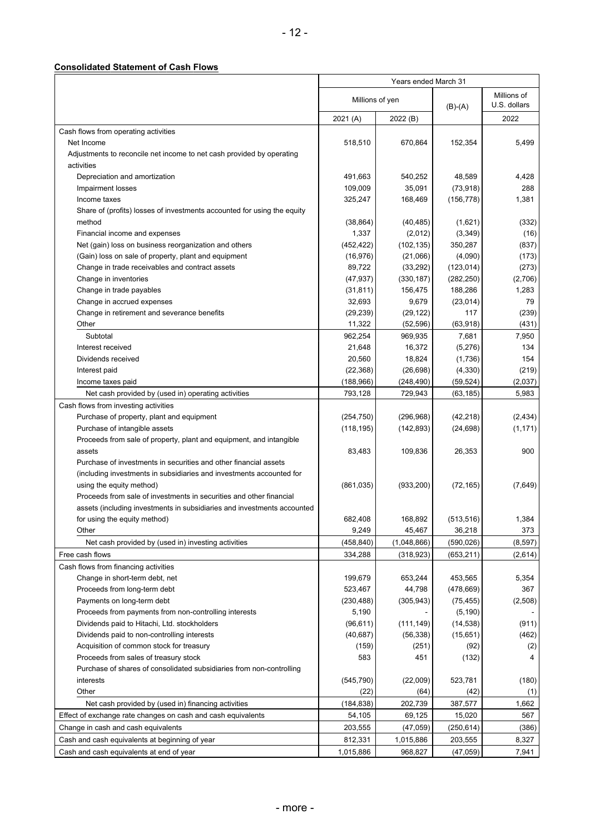## **Consolidated Statement of Cash Flows**

|                                                                         | Years ended March 31 |                   |                       |                             |
|-------------------------------------------------------------------------|----------------------|-------------------|-----------------------|-----------------------------|
|                                                                         | Millions of yen      |                   | $(B)-(A)$             | Millions of<br>U.S. dollars |
|                                                                         | 2021 (A)             | 2022 (B)          |                       | 2022                        |
| Cash flows from operating activities                                    |                      |                   |                       |                             |
| Net Income                                                              | 518,510              | 670,864           | 152,354               | 5,499                       |
| Adjustments to reconcile net income to net cash provided by operating   |                      |                   |                       |                             |
| activities                                                              |                      |                   |                       |                             |
| Depreciation and amortization                                           | 491,663              | 540,252           | 48,589                | 4,428                       |
| Impairment losses                                                       | 109,009              | 35,091            | (73, 918)             | 288                         |
| Income taxes                                                            | 325,247              | 168,469           | (156, 778)            | 1,381                       |
| Share of (profits) losses of investments accounted for using the equity |                      |                   |                       |                             |
| method                                                                  | (38, 864)            | (40, 485)         | (1,621)               | (332)                       |
| Financial income and expenses                                           | 1,337                | (2,012)           | (3, 349)              | (16)                        |
| Net (gain) loss on business reorganization and others                   | (452, 422)           | (102, 135)        | 350,287               | (837)                       |
| (Gain) loss on sale of property, plant and equipment                    | (16, 976)            | (21,066)          | (4,090)               | (173)                       |
| Change in trade receivables and contract assets                         | 89,722               | (33, 292)         | (123, 014)            | (273)                       |
| Change in inventories                                                   | (47, 937)            | (330, 187)        | (282, 250)            | (2,706)                     |
| Change in trade payables                                                | (31, 811)            | 156,475           | 188,286               | 1,283                       |
| Change in accrued expenses                                              | 32,693               | 9,679             | (23, 014)             | 79                          |
| Change in retirement and severance benefits                             | (29, 239)            | (29, 122)         | 117                   | (239)                       |
| Other                                                                   | 11,322               | (52, 596)         | (63,918)              | (431)                       |
| Subtotal                                                                | 962,254              | 969,935           | 7,681                 | 7,950                       |
| Interest received                                                       | 21,648               | 16,372            | (5,276)               | 134                         |
| Dividends received                                                      | 20,560               | 18,824            | (1,736)               | 154                         |
| Interest paid                                                           | (22, 368)            | (26, 698)         | (4, 330)              | (219)                       |
| Income taxes paid                                                       | (188, 966)           | (248, 490)        | (59, 524)             | (2,037)                     |
| Net cash provided by (used in) operating activities                     | 793,128              | 729,943           | (63, 185)             | 5,983                       |
| Cash flows from investing activities                                    |                      |                   |                       |                             |
| Purchase of property, plant and equipment                               | (254, 750)           | (296,968)         | (42, 218)             | (2, 434)                    |
| Purchase of intangible assets                                           | (118, 195)           | (142, 893)        | (24, 698)             | (1, 171)                    |
| Proceeds from sale of property, plant and equipment, and intangible     |                      |                   |                       |                             |
| assets                                                                  | 83,483               | 109,836           | 26,353                | 900                         |
| Purchase of investments in securities and other financial assets        |                      |                   |                       |                             |
| (including investments in subsidiaries and investments accounted for    |                      |                   |                       |                             |
| using the equity method)                                                | (861, 035)           | (933, 200)        | (72, 165)             | (7,649)                     |
| Proceeds from sale of investments in securities and other financial     |                      |                   |                       |                             |
| assets (including investments in subsidiaries and investments accounted | 682,408              | 168,892           |                       |                             |
| for using the equity method)<br>Other                                   | 9,249                |                   | (513, 516)            | 1,384                       |
|                                                                         |                      | 45,467            | 36,218                | 373                         |
| Net cash provided by (used in) investing activities                     | (458, 840)           | (1,048,866)       | (590,026)             | (8,597)                     |
| Free cash flows                                                         | 334,288              | (318, 923)        | (653,211)             | (2,614)                     |
| Cash flows from financing activities                                    |                      |                   |                       |                             |
| Change in short-term debt, net<br>Proceeds from long-term debt          | 199,679<br>523,467   | 653,244<br>44,798 | 453,565<br>(478, 669) | 5,354<br>367                |
| Payments on long-term debt                                              | (230, 488)           | (305, 943)        | (75, 455)             | (2,508)                     |
| Proceeds from payments from non-controlling interests                   | 5,190                |                   | (5, 190)              |                             |
| Dividends paid to Hitachi, Ltd. stockholders                            | (96, 611)            | (111, 149)        | (14, 538)             | (911)                       |
| Dividends paid to non-controlling interests                             | (40, 687)            | (56, 338)         | (15, 651)             | (462)                       |
| Acquisition of common stock for treasury                                | (159)                | (251)             | (92)                  | (2)                         |
| Proceeds from sales of treasury stock                                   | 583                  | 451               | (132)                 | 4                           |
| Purchase of shares of consolidated subsidiaries from non-controlling    |                      |                   |                       |                             |
| interests                                                               | (545, 790)           | (22,009)          | 523,781               | (180)                       |
| Other                                                                   | (22)                 | (64)              | (42)                  | (1)                         |
| Net cash provided by (used in) financing activities                     | (184, 838)           | 202,739           | 387,577               | 1,662                       |
| Effect of exchange rate changes on cash and cash equivalents            | 54,105               | 69,125            | 15,020                | 567                         |
| Change in cash and cash equivalents                                     | 203,555              | (47, 059)         | (250, 614)            | (386)                       |
| Cash and cash equivalents at beginning of year                          | 812,331              | 1,015,886         | 203,555               | 8,327                       |
| Cash and cash equivalents at end of year                                | 1,015,886            | 968,827           | (47, 059)             | 7,941                       |
|                                                                         |                      |                   |                       |                             |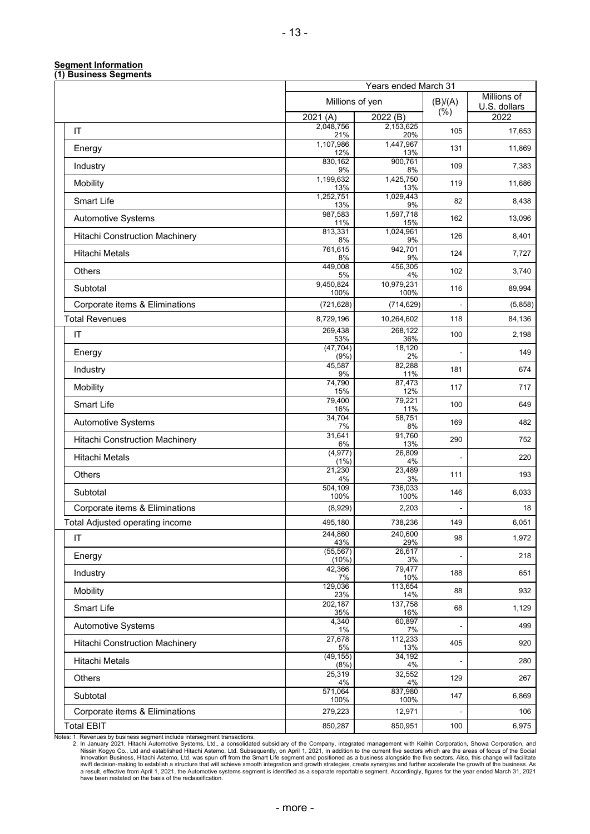#### **Segment Information (1) Business Segments**

|                                       |                    | Years ended March 31    |                |                             |
|---------------------------------------|--------------------|-------------------------|----------------|-----------------------------|
|                                       | Millions of yen    |                         | (B)/(A)<br>(%) | Millions of<br>U.S. dollars |
|                                       | 2021(A)            | 2022 (B)                |                | 2022                        |
| $\mathsf{I}\mathsf{T}$                | 2,048,756<br>21%   | 2,153,625<br>20%        | 105            | 17,653                      |
| Energy                                | 1,107,986<br>12%   | 1,447,967<br>13%        | 131            | 11,869                      |
| Industry                              | 830,162<br>9%      | 900,761<br>8%           | 109            | 7,383                       |
| Mobility                              | 1,199,632<br>13%   | 1,425,750<br><b>13%</b> | 119            | 11,686                      |
| <b>Smart Life</b>                     | 1,252,751<br>13%   | 1,029,443<br>9%         | 82             | 8,438                       |
| Automotive Systems                    | 987,583<br>11%     | 1,597,718<br>15%        | 162            | 13,096                      |
| <b>Hitachi Construction Machinery</b> | 813,331<br>8%      | 1,024,961<br>9%         | 126            | 8,401                       |
| Hitachi Metals                        | 761,615<br>8%      | 942,701<br>9%           | 124            | 7,727                       |
| <b>Others</b>                         | 449,008<br>5%      | 456,305<br>4%           | 102            | 3,740                       |
| Subtotal                              | 9,450,824<br>100%  | 10,979,231<br>100%      | 116            | 89,994                      |
| Corporate items & Eliminations        | (721, 628)         | (714, 629)              |                | (5,858)                     |
| <b>Total Revenues</b>                 | 8,729,196          | 10,264,602              | 118            | 84,136                      |
| IT                                    | 269,438<br>53%     | 268,122<br>36%          | 100            | 2,198                       |
| Energy                                | (47, 704)<br>(9% ) | 18,120<br>2%            |                | 149                         |
| Industry                              | 45,587<br>9%       | 82,288<br>11%           | 181            | 674                         |
| Mobility                              | 74,790<br>15%      | 87,473<br>12%           | 117            | 717                         |
| <b>Smart Life</b>                     | 79,400<br>16%      | 79,221<br>11%           | 100            | 649                         |
| Automotive Systems                    | 34,704<br>7%       | 58,751<br>8%            | 169            | 482                         |
| <b>Hitachi Construction Machinery</b> | 31,641<br>6%       | 91,760<br>13%           | 290            | 752                         |
| Hitachi Metals                        | (4, 977)<br>(1%)   | 26,809<br>4%            |                | 220                         |
| Others                                | 21,230<br>4%       | 23,489<br>3%            | 111            | 193                         |
| Subtotal                              | 504,109<br>100%    | 736,033<br>100%         | 146            | 6,033                       |
| Corporate items & Eliminations        | (8,929)            | 2,203                   |                | 18                          |
| Total Adjusted operating income       | 495,180            | 738,236                 | 149            | 6,051                       |
| IT                                    | 244,860<br>43%     | 240,600<br>29%          | 98             | 1,972                       |
| Energy                                | (55, 567)<br>(10%) | 26,617<br>3%            |                | 218                         |
| Industry                              | 42,366<br>7%       | 79,477<br>10%           | 188            | 651                         |
| Mobility                              | 129,036<br>23%     | 113,654<br>14%          | 88             | 932                         |
| Smart Life                            | 202,187<br>35%     | 137,758<br>16%          | 68             | 1,129                       |
| Automotive Systems                    | 4,340<br>1%        | 60,897<br>7%            |                | 499                         |
| <b>Hitachi Construction Machinery</b> | 27,678<br>5%       | 112,233<br>13%          | 405            | 920                         |
| Hitachi Metals                        | (49, 155)<br>(8%)  | 34,192<br>4%            |                | 280                         |
| Others                                | 25,319<br>4%       | 32,552<br>4%            | 129            | 267                         |
| Subtotal                              | 571,064<br>100%    | 837,980<br>100%         | 147            | 6,869                       |
| Corporate items & Eliminations        | 279,223            | 12,971                  |                | 106                         |
| <b>Total EBIT</b>                     | 850,287            | 850,951                 | 100            | 6,975                       |

Notes: 1. Revenues by business segment include intersegment transactions.<br>2. In January 2021, Hitachi Automotive Systems, Ltd., a consolidated subsidiary of the Company, integrated management with Keihin Corporation, Showa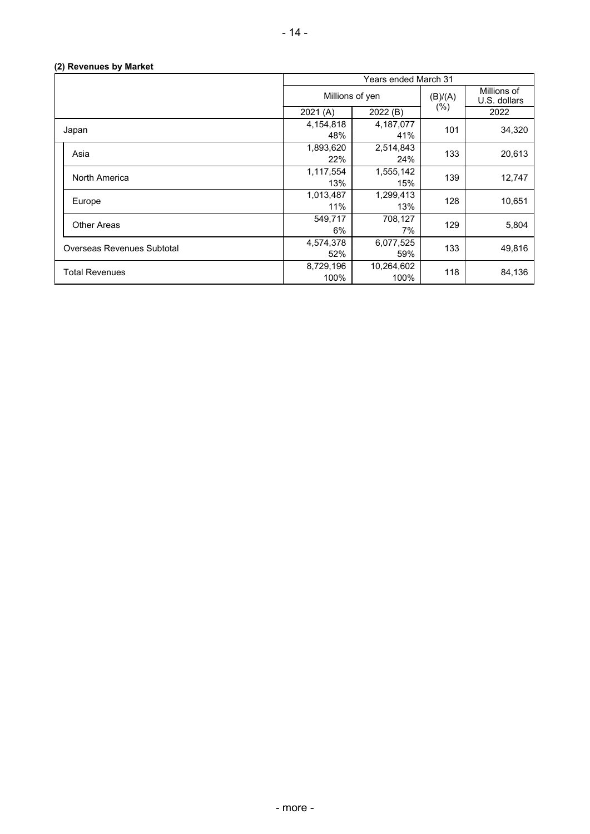## **(2) Revenues by Market**

|                                   | Years ended March 31 |                    |         |                             |
|-----------------------------------|----------------------|--------------------|---------|-----------------------------|
|                                   | Millions of yen      |                    | (B)/(A) | Millions of<br>U.S. dollars |
|                                   | 2021(A)              | 2022 (B)           | $(\% )$ | 2022                        |
| Japan                             | 4,154,818<br>48%     | 4,187,077<br>41%   | 101     | 34,320                      |
| Asia                              | 1,893,620<br>22%     | 2,514,843<br>24%   | 133     | 20,613                      |
| North America                     | 1,117,554<br>13%     | 1,555,142<br>15%   | 139     | 12,747                      |
| Europe                            | 1,013,487<br>11%     | 1,299,413<br>13%   | 128     | 10,651                      |
| <b>Other Areas</b>                | 549,717<br>6%        | 708,127<br>7%      | 129     | 5,804                       |
| <b>Overseas Revenues Subtotal</b> | 4,574,378<br>52%     | 6,077,525<br>59%   | 133     | 49,816                      |
| <b>Total Revenues</b>             | 8,729,196<br>100%    | 10,264,602<br>100% | 118     | 84,136                      |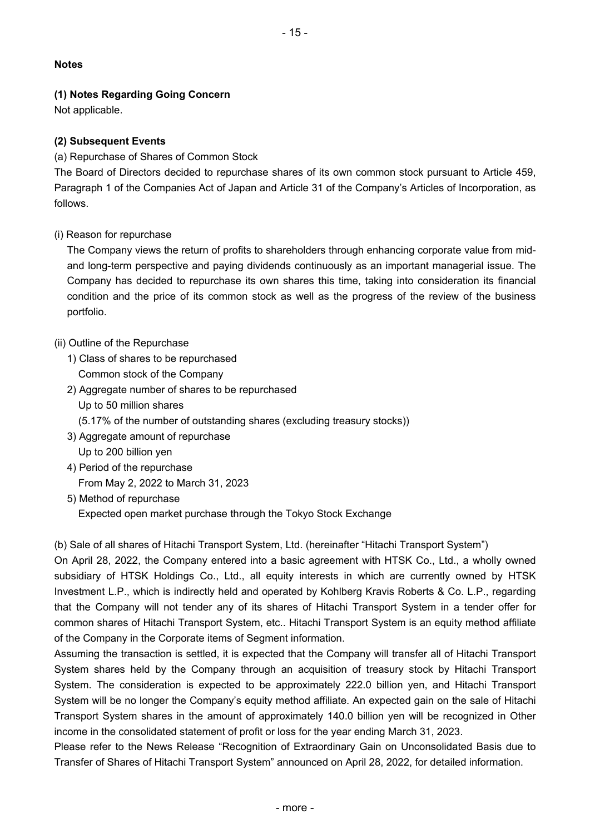## **Notes**

## **(1) Notes Regarding Going Concern**

Not applicable.

## **(2) Subsequent Events**

(a) Repurchase of Shares of Common Stock

The Board of Directors decided to repurchase shares of its own common stock pursuant to Article 459, Paragraph 1 of the Companies Act of Japan and Article 31 of the Company's Articles of Incorporation, as follows.

## (i) Reason for repurchase

The Company views the return of profits to shareholders through enhancing corporate value from midand long-term perspective and paying dividends continuously as an important managerial issue. The Company has decided to repurchase its own shares this time, taking into consideration its financial condition and the price of its common stock as well as the progress of the review of the business portfolio.

## (ii) Outline of the Repurchase

- 1) Class of shares to be repurchased Common stock of the Company
- 2) Aggregate number of shares to be repurchased Up to 50 million shares (5.17% of the number of outstanding shares (excluding treasury stocks))
- 3) Aggregate amount of repurchase Up to 200 billion yen
- 4) Period of the repurchase From May 2, 2022 to March 31, 2023
- 5) Method of repurchase Expected open market purchase through the Tokyo Stock Exchange

(b) Sale of all shares of Hitachi Transport System, Ltd. (hereinafter "Hitachi Transport System")

On April 28, 2022, the Company entered into a basic agreement with HTSK Co., Ltd., a wholly owned subsidiary of HTSK Holdings Co., Ltd., all equity interests in which are currently owned by HTSK Investment L.P., which is indirectly held and operated by Kohlberg Kravis Roberts & Co. L.P., regarding that the Company will not tender any of its shares of Hitachi Transport System in a tender offer for common shares of Hitachi Transport System, etc.. Hitachi Transport System is an equity method affiliate of the Company in the Corporate items of Segment information.

Assuming the transaction is settled, it is expected that the Company will transfer all of Hitachi Transport System shares held by the Company through an acquisition of treasury stock by Hitachi Transport System. The consideration is expected to be approximately 222.0 billion yen, and Hitachi Transport System will be no longer the Company's equity method affiliate. An expected gain on the sale of Hitachi Transport System shares in the amount of approximately 140.0 billion yen will be recognized in Other income in the consolidated statement of profit or loss for the year ending March 31, 2023.

Please refer to the News Release "Recognition of Extraordinary Gain on Unconsolidated Basis due to Transfer of Shares of Hitachi Transport System" announced on April 28, 2022, for detailed information.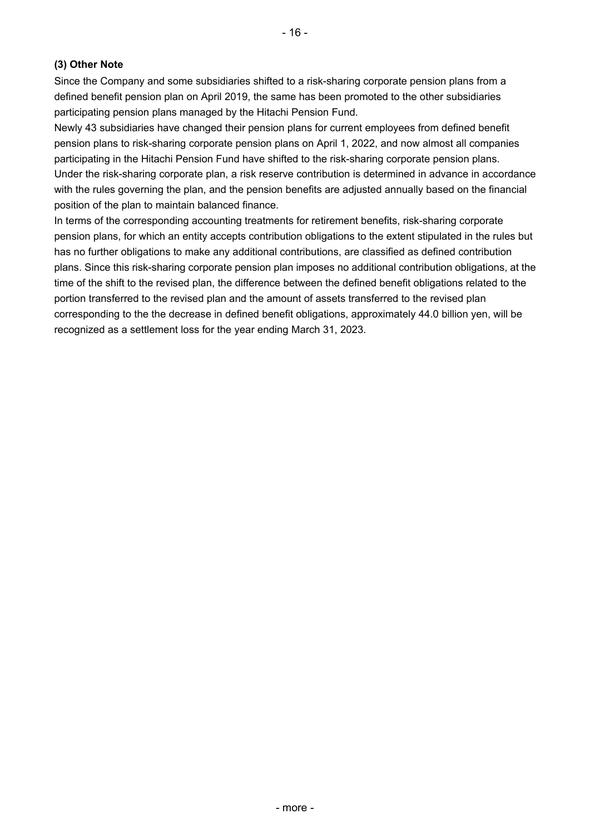## **(3) Other Note**

Since the Company and some subsidiaries shifted to a risk-sharing corporate pension plans from a defined benefit pension plan on April 2019, the same has been promoted to the other subsidiaries participating pension plans managed by the Hitachi Pension Fund.

Newly 43 subsidiaries have changed their pension plans for current employees from defined benefit pension plans to risk-sharing corporate pension plans on April 1, 2022, and now almost all companies participating in the Hitachi Pension Fund have shifted to the risk-sharing corporate pension plans. Under the risk-sharing corporate plan, a risk reserve contribution is determined in advance in accordance with the rules governing the plan, and the pension benefits are adjusted annually based on the financial position of the plan to maintain balanced finance.

In terms of the corresponding accounting treatments for retirement benefits, risk-sharing corporate pension plans, for which an entity accepts contribution obligations to the extent stipulated in the rules but has no further obligations to make any additional contributions, are classified as defined contribution plans. Since this risk-sharing corporate pension plan imposes no additional contribution obligations, at the time of the shift to the revised plan, the difference between the defined benefit obligations related to the portion transferred to the revised plan and the amount of assets transferred to the revised plan corresponding to the the decrease in defined benefit obligations, approximately 44.0 billion yen, will be recognized as a settlement loss for the year ending March 31, 2023.